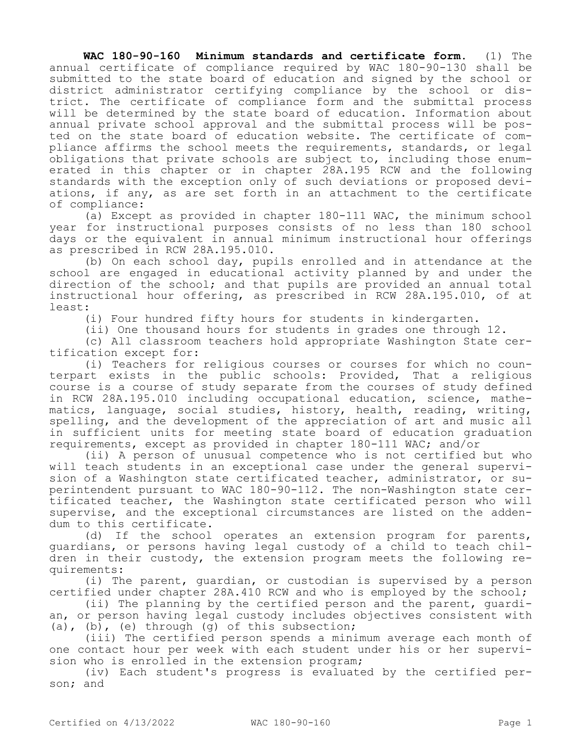**WAC 180-90-160 Minimum standards and certificate form.** (1) The annual certificate of compliance required by WAC 180-90-130 shall be submitted to the state board of education and signed by the school or district administrator certifying compliance by the school or district. The certificate of compliance form and the submittal process will be determined by the state board of education. Information about annual private school approval and the submittal process will be posted on the state board of education website. The certificate of compliance affirms the school meets the requirements, standards, or legal obligations that private schools are subject to, including those enumerated in this chapter or in chapter 28A.195 RCW and the following standards with the exception only of such deviations or proposed deviations, if any, as are set forth in an attachment to the certificate of compliance:

(a) Except as provided in chapter 180-111 WAC, the minimum school year for instructional purposes consists of no less than 180 school days or the equivalent in annual minimum instructional hour offerings as prescribed in RCW 28A.195.010.

(b) On each school day, pupils enrolled and in attendance at the school are engaged in educational activity planned by and under the direction of the school; and that pupils are provided an annual total instructional hour offering, as prescribed in RCW 28A.195.010, of at least:

(i) Four hundred fifty hours for students in kindergarten.

(ii) One thousand hours for students in grades one through 12.

(c) All classroom teachers hold appropriate Washington State certification except for:

(i) Teachers for religious courses or courses for which no counterpart exists in the public schools: Provided, That a religious course is a course of study separate from the courses of study defined in RCW 28A.195.010 including occupational education, science, mathematics, language, social studies, history, health, reading, writing, spelling, and the development of the appreciation of art and music all in sufficient units for meeting state board of education graduation requirements, except as provided in chapter 180-111 WAC; and/or

(ii) A person of unusual competence who is not certified but who will teach students in an exceptional case under the general supervision of a Washington state certificated teacher, administrator, or superintendent pursuant to WAC 180-90-112. The non-Washington state certificated teacher, the Washington state certificated person who will supervise, and the exceptional circumstances are listed on the addendum to this certificate.

(d) If the school operates an extension program for parents, guardians, or persons having legal custody of a child to teach children in their custody, the extension program meets the following requirements:

(i) The parent, guardian, or custodian is supervised by a person certified under chapter 28A.410 RCW and who is employed by the school;

(ii) The planning by the certified person and the parent, guardian, or person having legal custody includes objectives consistent with (a), (b), (e) through (g) of this subsection;

(iii) The certified person spends a minimum average each month of one contact hour per week with each student under his or her supervision who is enrolled in the extension program;

(iv) Each student's progress is evaluated by the certified person; and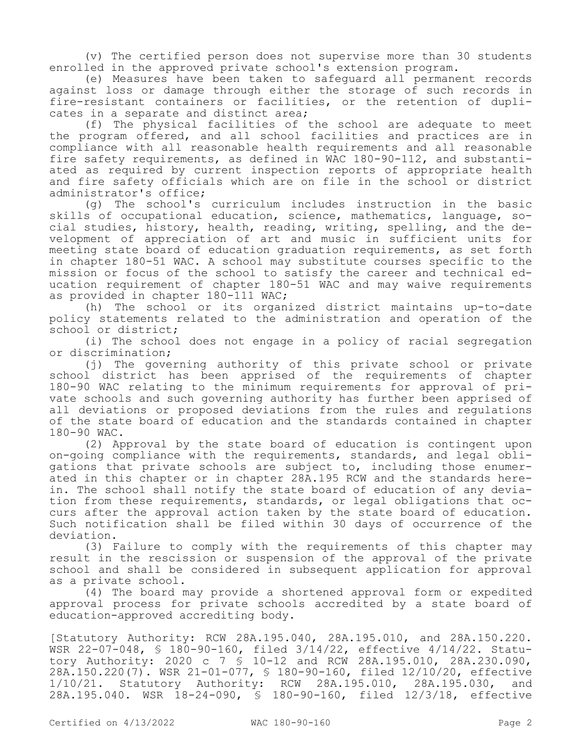(v) The certified person does not supervise more than 30 students enrolled in the approved private school's extension program.

(e) Measures have been taken to safeguard all permanent records against loss or damage through either the storage of such records in fire-resistant containers or facilities, or the retention of duplicates in a separate and distinct area;

(f) The physical facilities of the school are adequate to meet the program offered, and all school facilities and practices are in compliance with all reasonable health requirements and all reasonable fire safety requirements, as defined in WAC 180-90-112, and substantiated as required by current inspection reports of appropriate health and fire safety officials which are on file in the school or district administrator's office;

(g) The school's curriculum includes instruction in the basic skills of occupational education, science, mathematics, language, social studies, history, health, reading, writing, spelling, and the development of appreciation of art and music in sufficient units for meeting state board of education graduation requirements, as set forth in chapter 180-51 WAC. A school may substitute courses specific to the mission or focus of the school to satisfy the career and technical education requirement of chapter 180-51 WAC and may waive requirements as provided in chapter 180-111 WAC;

(h) The school or its organized district maintains up-to-date policy statements related to the administration and operation of the school or district;

(i) The school does not engage in a policy of racial segregation or discrimination;

(j) The governing authority of this private school or private school district has been apprised of the requirements of chapter 180-90 WAC relating to the minimum requirements for approval of private schools and such governing authority has further been apprised of all deviations or proposed deviations from the rules and regulations of the state board of education and the standards contained in chapter 180-90 WAC.

(2) Approval by the state board of education is contingent upon on-going compliance with the requirements, standards, and legal obligations that private schools are subject to, including those enumerated in this chapter or in chapter 28A.195 RCW and the standards herein. The school shall notify the state board of education of any deviation from these requirements, standards, or legal obligations that occurs after the approval action taken by the state board of education. Such notification shall be filed within 30 days of occurrence of the deviation.

(3) Failure to comply with the requirements of this chapter may result in the rescission or suspension of the approval of the private school and shall be considered in subsequent application for approval as a private school.

(4) The board may provide a shortened approval form or expedited approval process for private schools accredited by a state board of education-approved accrediting body.

[Statutory Authority: RCW 28A.195.040, 28A.195.010, and 28A.150.220. WSR 22-07-048, § 180-90-160, filed 3/14/22, effective 4/14/22. Statutory Authority: 2020 c 7 § 10-12 and RCW 28A.195.010, 28A.230.090, 28A.150.220(7). WSR 21-01-077, § 180-90-160, filed 12/10/20, effective 1/10/21. Statutory Authority: RCW 28A.195.010, 28A.195.030, and 28A.195.040. WSR 18-24-090, § 180-90-160, filed 12/3/18, effective